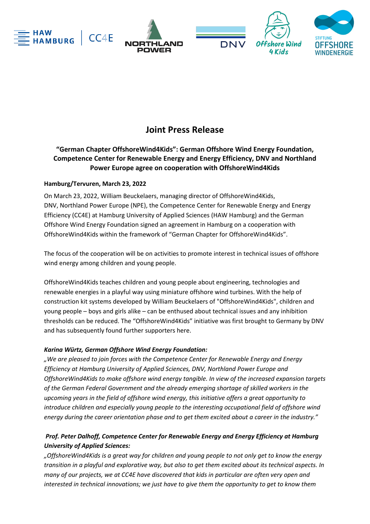



# **Joint Press Release**

# **"German Chapter OffshoreWind4Kids": German Offshore Wind Energy Foundation, Competence Center for Renewable Energy and Energy Efficiency, DNV and Northland Power Europe agree on cooperation with OffshoreWind4Kids**

# **Hamburg/Tervuren, March 23, 2022**

On March 23, 2022, William Beuckelaers, managing director of OffshoreWind4Kids, DNV, Northland Power Europe (NPE), the Competence Center for Renewable Energy and Energy Efficiency (CC4E) at Hamburg University of Applied Sciences (HAW Hamburg) and the German Offshore Wind Energy Foundation signed an agreement in Hamburg on a cooperation with OffshoreWind4Kids within the framework of "German Chapter for OffshoreWind4Kids".

The focus of the cooperation will be on activities to promote interest in technical issues of offshore wind energy among children and young people.

OffshoreWind4Kids teaches children and young people about engineering, technologies and renewable energies in a playful way using miniature offshore wind turbines. With the help of construction kit systems developed by William Beuckelaers of "OffshoreWind4Kids", children and young people – boys and girls alike – can be enthused about technical issues and any inhibition thresholds can be reduced. The "OffshoreWind4Kids" initiative was first brought to Germany by DNV and has subsequently found further supporters here.

# *Karina Würtz, German Offshore Wind Energy Foundation:*

*"We are pleased to join forces with the Competence Center for Renewable Energy and Energy Efficiency at Hamburg University of Applied Sciences, DNV, Northland Power Europe and OffshoreWind4Kids to make offshore wind energy tangible. In view of the increased expansion targets of the German Federal Government and the already emerging shortage of skilled workers in the upcoming years in the field of offshore wind energy, this initiative offers a great opportunity to introduce children and especially young people to the interesting occupational field of offshore wind energy during the career orientation phase and to get them excited about a career in the industry."*

# *Prof. Peter Dalhoff, Competence Center for Renewable Energy and Energy Efficiency at Hamburg University of Applied Sciences:*

*"OffshoreWind4Kids is a great way for children and young people to not only get to know the energy transition in a playful and explorative way, but also to get them excited about its technical aspects. In many of our projects, we at CC4E have discovered that kids in particular are often very open and interested in technical innovations; we just have to give them the opportunity to get to know them*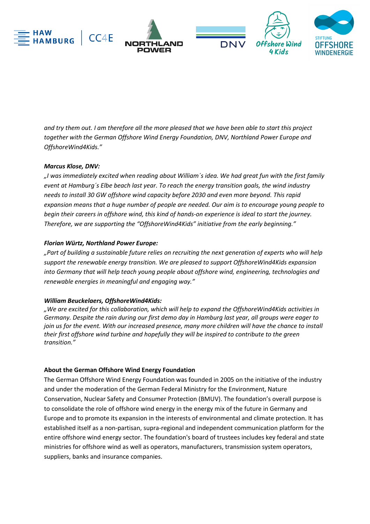

*and try them out. I am therefore all the more pleased that we have been able to start this project together with the German Offshore Wind Energy Foundation, DNV, Northland Power Europe and OffshoreWind4Kids."* 

# *Marcus Klose, DNV:*

*"I was immediately excited when reading about William´s idea. We had great fun with the first family event at Hamburg´s Elbe beach last year. To reach the energy transition goals, the wind industry needs to install 30 GW offshore wind capacity before 2030 and even more beyond. This rapid expansion means that a huge number of people are needed. Our aim is to encourage young people to begin their careers in offshore wind, this kind of hands-on experience is ideal to start the journey. Therefore, we are supporting the "OffshoreWind4Kids" initiative from the early beginning."* 

#### *Florian Würtz, Northland Power Europe:*

*"Part of building a sustainable future relies on recruiting the next generation of experts who will help support the renewable energy transition. We are pleased to support OffshoreWind4Kids expansion into Germany that will help teach young people about offshore wind, engineering, technologies and renewable energies in meaningful and engaging way."* 

#### *William Beuckelaers, OffshoreWind4Kids:*

*"We are excited for this collaboration, which will help to expand the OffshoreWind4Kids activities in Germany. Despite the rain during our first demo day in Hamburg last year, all groups were eager to join us for the event. With our increased presence, many more children will have the chance to install their first offshore wind turbine and hopefully they will be inspired to contribute to the green transition."*

# **About the German Offshore Wind Energy Foundation**

The German Offshore Wind Energy Foundation was founded in 2005 on the initiative of the industry and under the moderation of the German Federal Ministry for the Environment, Nature Conservation, Nuclear Safety and Consumer Protection (BMUV). The foundation's overall purpose is to consolidate the role of offshore wind energy in the energy mix of the future in Germany and Europe and to promote its expansion in the interests of environmental and climate protection. It has established itself as a non-partisan, supra-regional and independent communication platform for the entire offshore wind energy sector. The foundation's board of trustees includes key federal and state ministries for offshore wind as well as operators, manufacturers, transmission system operators, suppliers, banks and insurance companies.